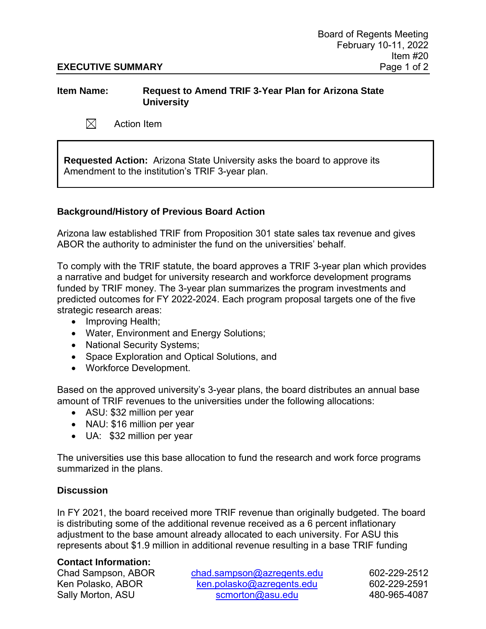# **EXECUTIVE SUMMARY** Page 1 of 2

# **Item Name: Request to Amend TRIF 3-Year Plan for Arizona State University**

 $\boxtimes$ Action Item

**Requested Action:** Arizona State University asks the board to approve its Amendment to the institution's TRIF 3-year plan.

# **Background/History of Previous Board Action**

Arizona law established TRIF from Proposition 301 state sales tax revenue and gives ABOR the authority to administer the fund on the universities' behalf.

To comply with the TRIF statute, the board approves a TRIF 3-year plan which provides a narrative and budget for university research and workforce development programs funded by TRIF money. The 3-year plan summarizes the program investments and predicted outcomes for FY 2022-2024. Each program proposal targets one of the five strategic research areas:

- Improving Health;
- Water, Environment and Energy Solutions;
- National Security Systems;
- Space Exploration and Optical Solutions, and
- Workforce Development.

Based on the approved university's 3-year plans, the board distributes an annual base amount of TRIF revenues to the universities under the following allocations:

- ASU: \$32 million per year
- NAU: \$16 million per year
- UA: \$32 million per year

The universities use this base allocation to fund the research and work force programs summarized in the plans.

### **Discussion**

In FY 2021, the board received more TRIF revenue than originally budgeted. The board is distributing some of the additional revenue received as a 6 percent inflationary adjustment to the base amount already allocated to each university. For ASU this represents about \$1.9 million in additional revenue resulting in a base TRIF funding

### **Contact Information:**

Chad Sampson, ABOR [chad.sampson@azregents.edu](mailto:chad.sampson@azregents.edu) 602-229-2512 Ken Polasko, ABOR [ken.polasko@azregents.edu](mailto:ken.polasko@azregents.edu) 602-229-2591 Sally Morton, ASU [scmorton@asu.edu](mailto:scmorton@asu.edu) 480-965-4087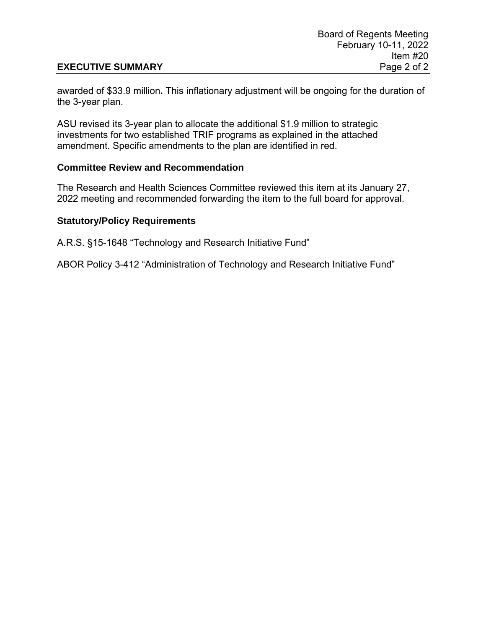# **EXECUTIVE SUMMARY** Page 2 of 2

awarded of \$33.9 million**.** This inflationary adjustment will be ongoing for the duration of the 3-year plan.

ASU revised its 3-year plan to allocate the additional \$1.9 million to strategic investments for two established TRIF programs as explained in the attached amendment. Specific amendments to the plan are identified in red.

# **Committee Review and Recommendation**

The Research and Health Sciences Committee reviewed this item at its January 27, 2022 meeting and recommended forwarding the item to the full board for approval.

# **Statutory/Policy Requirements**

A.R.S. §15-1648 "Technology and Research Initiative Fund"

ABOR Policy 3-412 "Administration of Technology and Research Initiative Fund"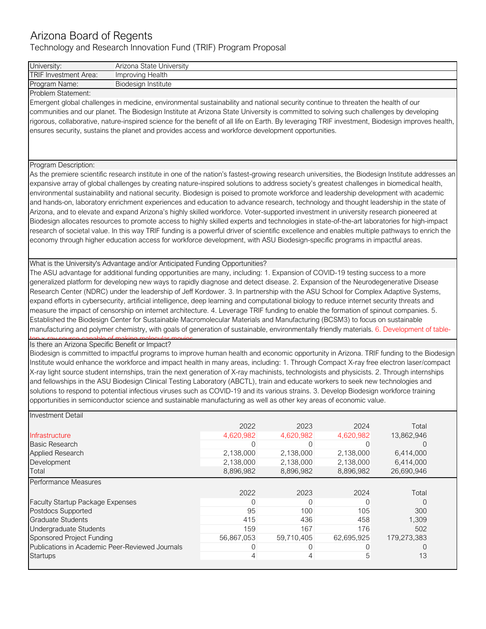# Arizona Board of Regents

Technology and Research Innovation Fund (TRIF) Program Proposal

| University:                                                                                                                                      | Arizona State University                                                                                                       |                |            |              |                |  |  |  |  |  |
|--------------------------------------------------------------------------------------------------------------------------------------------------|--------------------------------------------------------------------------------------------------------------------------------|----------------|------------|--------------|----------------|--|--|--|--|--|
| TRIF Investment Area:                                                                                                                            | Improving Health                                                                                                               |                |            |              |                |  |  |  |  |  |
| Program Name:                                                                                                                                    | Biodesign Institute                                                                                                            |                |            |              |                |  |  |  |  |  |
| Problem Statement:                                                                                                                               |                                                                                                                                |                |            |              |                |  |  |  |  |  |
| Emergent global challenges in medicine, environmental sustainability and national security continue to threaten the health of our                |                                                                                                                                |                |            |              |                |  |  |  |  |  |
| communities and our planet. The Biodesign Institute at Arizona State University is committed to solving such challenges by developing            |                                                                                                                                |                |            |              |                |  |  |  |  |  |
|                                                                                                                                                  |                                                                                                                                |                |            |              |                |  |  |  |  |  |
| rigorous, collaborative, nature-inspired science for the benefit of all life on Earth. By leveraging TRIF investment, Biodesign improves health, |                                                                                                                                |                |            |              |                |  |  |  |  |  |
| ensures security, sustains the planet and provides access and workforce development opportunities.                                               |                                                                                                                                |                |            |              |                |  |  |  |  |  |
|                                                                                                                                                  |                                                                                                                                |                |            |              |                |  |  |  |  |  |
|                                                                                                                                                  |                                                                                                                                |                |            |              |                |  |  |  |  |  |
| Program Description:                                                                                                                             |                                                                                                                                |                |            |              |                |  |  |  |  |  |
| As the premiere scientific research institute in one of the nation's fastest-growing research universities, the Biodesign Institute addresses an |                                                                                                                                |                |            |              |                |  |  |  |  |  |
|                                                                                                                                                  |                                                                                                                                |                |            |              |                |  |  |  |  |  |
| expansive array of global challenges by creating nature-inspired solutions to address society's greatest challenges in biomedical health,        |                                                                                                                                |                |            |              |                |  |  |  |  |  |
| environmental sustainability and national security. Biodesign is poised to promote workforce and leadership development with academic            |                                                                                                                                |                |            |              |                |  |  |  |  |  |
| and hands-on, laboratory enrichment experiences and education to advance research, technology and thought leadership in the state of             |                                                                                                                                |                |            |              |                |  |  |  |  |  |
| Arizona, and to elevate and expand Arizona's highly skilled workforce. Voter-supported investment in university research pioneered at            |                                                                                                                                |                |            |              |                |  |  |  |  |  |
| Biodesign allocates resources to promote access to highly skilled experts and technologies in state-of-the-art laboratories for high-impact      |                                                                                                                                |                |            |              |                |  |  |  |  |  |
| research of societal value. In this way TRIF funding is a powerful driver of scientific excellence and enables multiple pathways to enrich the   |                                                                                                                                |                |            |              |                |  |  |  |  |  |
| economy through higher education access for workforce development, with ASU Biodesign-specific programs in impactful areas.                      |                                                                                                                                |                |            |              |                |  |  |  |  |  |
|                                                                                                                                                  |                                                                                                                                |                |            |              |                |  |  |  |  |  |
|                                                                                                                                                  |                                                                                                                                |                |            |              |                |  |  |  |  |  |
| What is the University's Advantage and/or Anticipated Funding Opportunities?                                                                     |                                                                                                                                |                |            |              |                |  |  |  |  |  |
|                                                                                                                                                  | The ASU advantage for additional funding opportunities are many, including: 1. Expansion of COVID-19 testing success to a more |                |            |              |                |  |  |  |  |  |
| generalized platform for developing new ways to rapidly diagnose and detect disease. 2. Expansion of the Neurodegenerative Disease               |                                                                                                                                |                |            |              |                |  |  |  |  |  |
| Research Center (NDRC) under the leadership of Jeff Kordower. 3. In partnership with the ASU School for Complex Adaptive Systems,                |                                                                                                                                |                |            |              |                |  |  |  |  |  |
| expand efforts in cybersecurity, artificial intelligence, deep learning and computational biology to reduce internet security threats and        |                                                                                                                                |                |            |              |                |  |  |  |  |  |
| measure the impact of censorship on internet architecture. 4. Leverage TRIF funding to enable the formation of spinout companies. 5.             |                                                                                                                                |                |            |              |                |  |  |  |  |  |
|                                                                                                                                                  |                                                                                                                                |                |            |              |                |  |  |  |  |  |
| Established the Biodesign Center for Sustainable Macromolecular Materials and Manufacturing (BCSM3) to focus on sustainable                      |                                                                                                                                |                |            |              |                |  |  |  |  |  |
| manufacturing and polymer chemistry, with goals of generation of sustainable, environmentally friendly materials. 6. Development of table-       |                                                                                                                                |                |            |              |                |  |  |  |  |  |
| Is there an Arizona Specific Benefit or Impact?                                                                                                  |                                                                                                                                |                |            |              |                |  |  |  |  |  |
| Biodesign is committed to impactful programs to improve human health and economic opportunity in Arizona. TRIF funding to the Biodesign          |                                                                                                                                |                |            |              |                |  |  |  |  |  |
| Institute would enhance the workforce and impact health in many areas, including: 1. Through Compact X-ray free electron laser/compact           |                                                                                                                                |                |            |              |                |  |  |  |  |  |
| X-ray light source student internships, train the next generation of X-ray machinists, technologists and physicists. 2. Through internships      |                                                                                                                                |                |            |              |                |  |  |  |  |  |
|                                                                                                                                                  |                                                                                                                                |                |            |              |                |  |  |  |  |  |
| and fellowships in the ASU Biodesign Clinical Testing Laboratory (ABCTL), train and educate workers to seek new technologies and                 |                                                                                                                                |                |            |              |                |  |  |  |  |  |
| solutions to respond to potential infectious viruses such as COVID-19 and its various strains. 3. Develop Biodesign workforce training           |                                                                                                                                |                |            |              |                |  |  |  |  |  |
| opportunities in semiconductor science and sustainable manufacturing as well as other key areas of economic value.                               |                                                                                                                                |                |            |              |                |  |  |  |  |  |
|                                                                                                                                                  |                                                                                                                                |                |            |              |                |  |  |  |  |  |
| <b>Investment Detail</b>                                                                                                                         |                                                                                                                                |                |            |              |                |  |  |  |  |  |
|                                                                                                                                                  |                                                                                                                                | 2022           | 2023       | 2024         |                |  |  |  |  |  |
| Infrastructure                                                                                                                                   |                                                                                                                                |                |            |              | Total          |  |  |  |  |  |
|                                                                                                                                                  |                                                                                                                                | 4,620,982      | 4,620,982  | 4,620,982    | 13,862,946     |  |  |  |  |  |
| <b>Basic Research</b>                                                                                                                            |                                                                                                                                | $\overline{0}$ | 0          | $\mathbf{0}$ | $\Omega$       |  |  |  |  |  |
| <b>Applied Research</b>                                                                                                                          |                                                                                                                                | 2,138,000      | 2,138,000  | 2,138,000    | 6,414,000      |  |  |  |  |  |
| Development                                                                                                                                      |                                                                                                                                | 2,138,000      | 2,138,000  | 2,138,000    | 6,414,000      |  |  |  |  |  |
| Total                                                                                                                                            |                                                                                                                                | 8,896,982      | 8,896,982  | 8,896,982    | 26,690,946     |  |  |  |  |  |
|                                                                                                                                                  |                                                                                                                                |                |            |              |                |  |  |  |  |  |
| <b>Performance Measures</b>                                                                                                                      |                                                                                                                                |                |            |              |                |  |  |  |  |  |
|                                                                                                                                                  |                                                                                                                                | 2022           | 2023       | 2024         | Total          |  |  |  |  |  |
| Faculty Startup Package Expenses                                                                                                                 |                                                                                                                                | 0              | 0          | 0            | $\overline{0}$ |  |  |  |  |  |
| Postdocs Supported                                                                                                                               |                                                                                                                                | 95             | 100        | 105          | 300            |  |  |  |  |  |
| Graduate Students                                                                                                                                |                                                                                                                                | 415            | 436        | 458          | 1,309          |  |  |  |  |  |
| Undergraduate Students                                                                                                                           |                                                                                                                                | 159            | 167        | 176          | 502            |  |  |  |  |  |
| Sponsored Project Funding                                                                                                                        |                                                                                                                                | 56,867,053     | 59,710,405 | 62,695,925   | 179,273,383    |  |  |  |  |  |
| Publications in Academic Peer-Reviewed Journals                                                                                                  |                                                                                                                                | 0              | 0          | 0            | 0              |  |  |  |  |  |
| Startups                                                                                                                                         |                                                                                                                                | 4              | 4          | 5            | 13             |  |  |  |  |  |